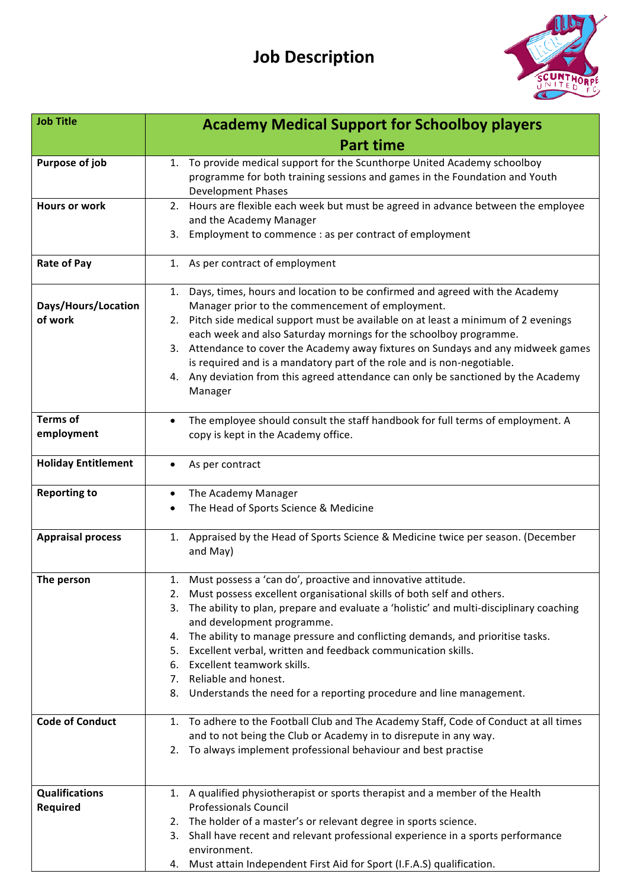# **Job Description**



| <b>Job Title</b>           | <b>Academy Medical Support for Schoolboy players</b>                                                                                                            |
|----------------------------|-----------------------------------------------------------------------------------------------------------------------------------------------------------------|
|                            | <b>Part time</b>                                                                                                                                                |
| Purpose of job             | To provide medical support for the Scunthorpe United Academy schoolboy<br>1.                                                                                    |
|                            | programme for both training sessions and games in the Foundation and Youth                                                                                      |
|                            | <b>Development Phases</b>                                                                                                                                       |
| <b>Hours or work</b>       | Hours are flexible each week but must be agreed in advance between the employee<br>2.                                                                           |
|                            | and the Academy Manager<br>3.                                                                                                                                   |
|                            | Employment to commence : as per contract of employment                                                                                                          |
| <b>Rate of Pay</b>         | As per contract of employment<br>1.                                                                                                                             |
|                            | Days, times, hours and location to be confirmed and agreed with the Academy<br>1.                                                                               |
| Days/Hours/Location        | Manager prior to the commencement of employment.                                                                                                                |
| of work                    | 2. Pitch side medical support must be available on at least a minimum of 2 evenings                                                                             |
|                            | each week and also Saturday mornings for the schoolboy programme.                                                                                               |
|                            | 3. Attendance to cover the Academy away fixtures on Sundays and any midweek games                                                                               |
|                            | is required and is a mandatory part of the role and is non-negotiable.<br>Any deviation from this agreed attendance can only be sanctioned by the Academy<br>4. |
|                            | Manager                                                                                                                                                         |
| <b>Terms of</b>            | The employee should consult the staff handbook for full terms of employment. A<br>$\bullet$                                                                     |
| employment                 | copy is kept in the Academy office.                                                                                                                             |
|                            |                                                                                                                                                                 |
| <b>Holiday Entitlement</b> | As per contract<br>$\bullet$                                                                                                                                    |
| <b>Reporting to</b>        | The Academy Manager<br>$\bullet$                                                                                                                                |
|                            | The Head of Sports Science & Medicine                                                                                                                           |
| <b>Appraisal process</b>   | Appraised by the Head of Sports Science & Medicine twice per season. (December<br>1.                                                                            |
|                            | and May)                                                                                                                                                        |
| The person                 | 1. Must possess a 'can do', proactive and innovative attitude.                                                                                                  |
|                            | Must possess excellent organisational skills of both self and others.<br>2.                                                                                     |
|                            | The ability to plan, prepare and evaluate a 'holistic' and multi-disciplinary coaching<br>3.                                                                    |
|                            | and development programme.<br>The ability to manage pressure and conflicting demands, and prioritise tasks.                                                     |
|                            | 4.<br>Excellent verbal, written and feedback communication skills.<br>5.                                                                                        |
|                            | Excellent teamwork skills.<br>6.                                                                                                                                |
|                            | Reliable and honest.<br>7.                                                                                                                                      |
|                            | Understands the need for a reporting procedure and line management.<br>8.                                                                                       |
| <b>Code of Conduct</b>     | 1. To adhere to the Football Club and The Academy Staff, Code of Conduct at all times                                                                           |
|                            | and to not being the Club or Academy in to disrepute in any way.                                                                                                |
|                            | To always implement professional behaviour and best practise<br>2.                                                                                              |
|                            |                                                                                                                                                                 |
| <b>Qualifications</b>      | 1. A qualified physiotherapist or sports therapist and a member of the Health                                                                                   |
| Required                   | <b>Professionals Council</b>                                                                                                                                    |
|                            | 2. The holder of a master's or relevant degree in sports science.                                                                                               |
|                            | Shall have recent and relevant professional experience in a sports performance<br>3.<br>environment.                                                            |
|                            | Must attain Independent First Aid for Sport (I.F.A.S) qualification.<br>4.                                                                                      |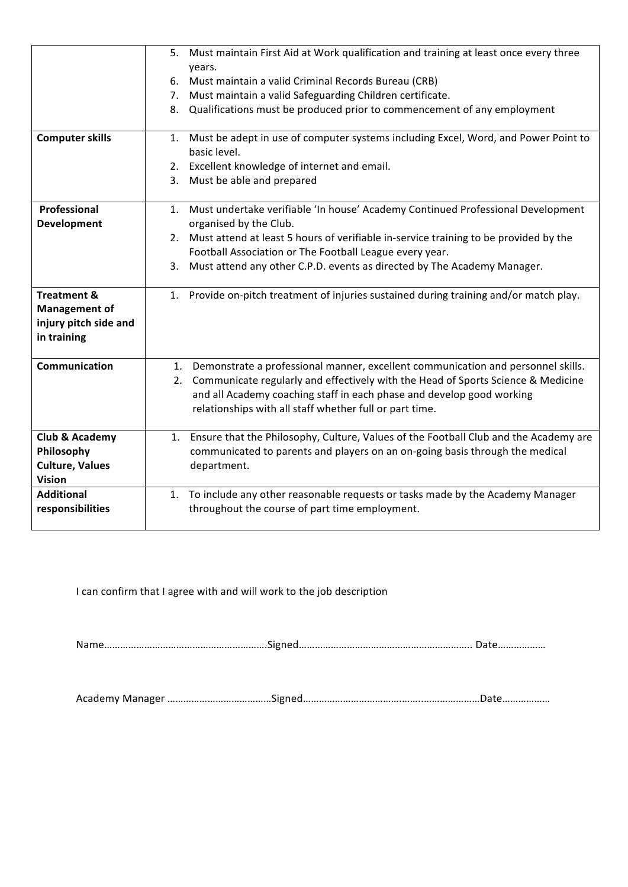|                           | 5. Must maintain First Aid at Work qualification and training at least once every three |
|---------------------------|-----------------------------------------------------------------------------------------|
|                           | years.                                                                                  |
|                           | 6. Must maintain a valid Criminal Records Bureau (CRB)                                  |
|                           | Must maintain a valid Safeguarding Children certificate.<br>7.                          |
|                           | Qualifications must be produced prior to commencement of any employment<br>8.           |
|                           |                                                                                         |
| <b>Computer skills</b>    | 1. Must be adept in use of computer systems including Excel, Word, and Power Point to   |
|                           | basic level.                                                                            |
|                           | 2. Excellent knowledge of internet and email.                                           |
|                           | 3. Must be able and prepared                                                            |
|                           |                                                                                         |
| Professional              | 1. Must undertake verifiable 'In house' Academy Continued Professional Development      |
| Development               | organised by the Club.                                                                  |
|                           | 2. Must attend at least 5 hours of verifiable in-service training to be provided by the |
|                           | Football Association or The Football League every year.                                 |
|                           | 3. Must attend any other C.P.D. events as directed by The Academy Manager.              |
|                           |                                                                                         |
| <b>Treatment &amp;</b>    | 1. Provide on-pitch treatment of injuries sustained during training and/or match play.  |
| <b>Management of</b>      |                                                                                         |
| injury pitch side and     |                                                                                         |
| in training               |                                                                                         |
|                           |                                                                                         |
| <b>Communication</b>      | 1. Demonstrate a professional manner, excellent communication and personnel skills.     |
|                           | 2. Communicate regularly and effectively with the Head of Sports Science & Medicine     |
|                           | and all Academy coaching staff in each phase and develop good working                   |
|                           | relationships with all staff whether full or part time.                                 |
|                           |                                                                                         |
| <b>Club &amp; Academy</b> | 1. Ensure that the Philosophy, Culture, Values of the Football Club and the Academy are |
| Philosophy                | communicated to parents and players on an on-going basis through the medical            |
| <b>Culture, Values</b>    | department.                                                                             |
| <b>Vision</b>             |                                                                                         |
| <b>Additional</b>         | To include any other reasonable requests or tasks made by the Academy Manager<br>1.     |
| responsibilities          | throughout the course of part time employment.                                          |
|                           |                                                                                         |

I can confirm that I agree with and will work to the job description

Name…………………………………………………….Signed……………………………………………………….. Date………………

Academy Manager ……………………………………Signed……………………………………………………………………Date…………………